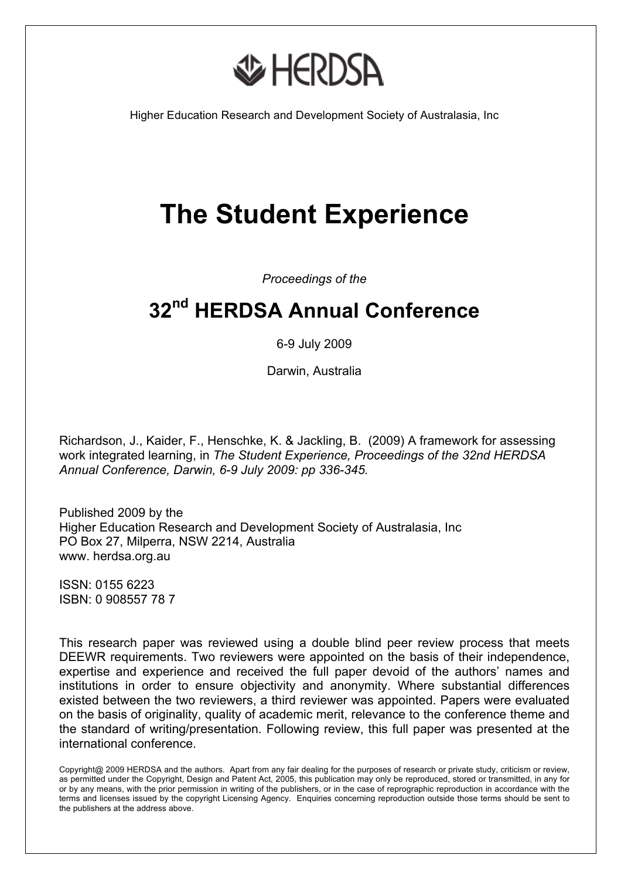**AD HERDSA** 

Higher Education Research and Development Society of Australasia, Inc

# **The Student Experience**

*Proceedings of the* 

# **32nd HERDSA Annual Conference**

6-9 July 2009

Darwin, Australia

Richardson, J., Kaider, F., Henschke, K. & Jackling, B. (2009) A framework for assessing work integrated learning, in *The Student Experience, Proceedings of the 32nd HERDSA Annual Conference, Darwin, 6-9 July 2009: pp 336-345.*

Published 2009 by the Higher Education Research and Development Society of Australasia, Inc PO Box 27, Milperra, NSW 2214, Australia www. herdsa.org.au

ISSN: 0155 6223 ISBN: 0 908557 78 7

This research paper was reviewed using a double blind peer review process that meets DEEWR requirements. Two reviewers were appointed on the basis of their independence, expertise and experience and received the full paper devoid of the authors' names and institutions in order to ensure objectivity and anonymity. Where substantial differences existed between the two reviewers, a third reviewer was appointed. Papers were evaluated on the basis of originality, quality of academic merit, relevance to the conference theme and the standard of writing/presentation. Following review, this full paper was presented at the international conference.

Copyright@ 2009 HERDSA and the authors. Apart from any fair dealing for the purposes of research or private study, criticism or review, as permitted under the Copyright, Design and Patent Act, 2005, this publication may only be reproduced, stored or transmitted, in any for or by any means, with the prior permission in writing of the publishers, or in the case of reprographic reproduction in accordance with the terms and licenses issued by the copyright Licensing Agency. Enquiries concerning reproduction outside those terms should be sent to the publishers at the address above.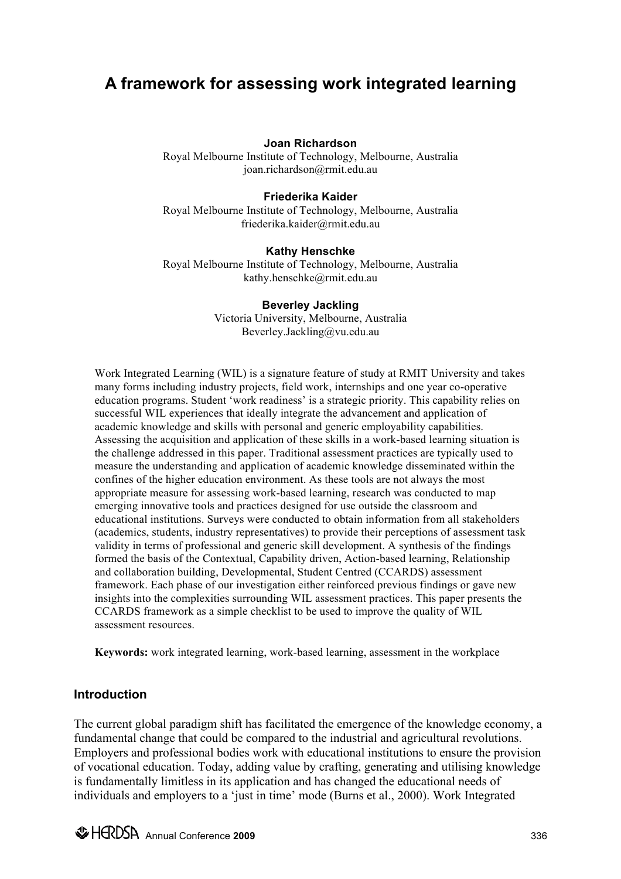# **A framework for assessing work integrated learning**

#### **Joan Richardson**

Royal Melbourne Institute of Technology, Melbourne, Australia joan.richardson@rmit.edu.au

#### **Friederika Kaider**

Royal Melbourne Institute of Technology, Melbourne, Australia friederika.kaider@rmit.edu.au

#### **Kathy Henschke**

Royal Melbourne Institute of Technology, Melbourne, Australia kathy.henschke@rmit.edu.au

> **Beverley Jackling** Victoria University, Melbourne, Australia Beverley.Jackling@vu.edu.au

Work Integrated Learning (WIL) is a signature feature of study at RMIT University and takes many forms including industry projects, field work, internships and one year co-operative education programs. Student 'work readiness' is a strategic priority. This capability relies on successful WIL experiences that ideally integrate the advancement and application of academic knowledge and skills with personal and generic employability capabilities. Assessing the acquisition and application of these skills in a work-based learning situation is the challenge addressed in this paper. Traditional assessment practices are typically used to measure the understanding and application of academic knowledge disseminated within the confines of the higher education environment. As these tools are not always the most appropriate measure for assessing work-based learning, research was conducted to map emerging innovative tools and practices designed for use outside the classroom and educational institutions. Surveys were conducted to obtain information from all stakeholders (academics, students, industry representatives) to provide their perceptions of assessment task validity in terms of professional and generic skill development. A synthesis of the findings formed the basis of the Contextual, Capability driven, Action-based learning, Relationship and collaboration building, Developmental, Student Centred (CCARDS) assessment framework. Each phase of our investigation either reinforced previous findings or gave new insights into the complexities surrounding WIL assessment practices. This paper presents the CCARDS framework as a simple checklist to be used to improve the quality of WIL assessment resources.

**Keywords:** work integrated learning, work-based learning, assessment in the workplace

#### **Introduction**

The current global paradigm shift has facilitated the emergence of the knowledge economy, a fundamental change that could be compared to the industrial and agricultural revolutions. Employers and professional bodies work with educational institutions to ensure the provision of vocational education. Today, adding value by crafting, generating and utilising knowledge is fundamentally limitless in its application and has changed the educational needs of individuals and employers to a 'just in time' mode (Burns et al., 2000). Work Integrated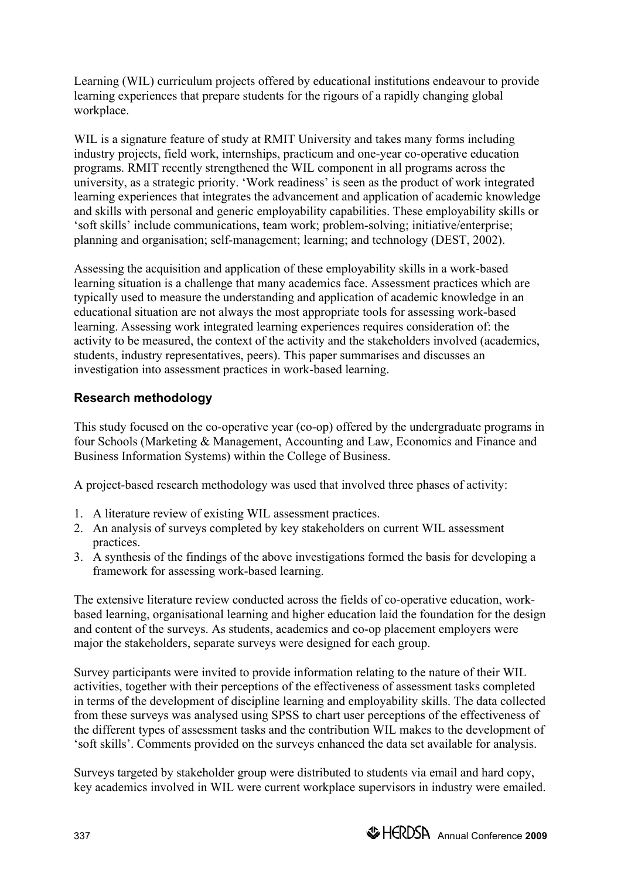Learning (WIL) curriculum projects offered by educational institutions endeavour to provide learning experiences that prepare students for the rigours of a rapidly changing global workplace.

WIL is a signature feature of study at RMIT University and takes many forms including industry projects, field work, internships, practicum and one-year co-operative education programs. RMIT recently strengthened the WIL component in all programs across the university, as a strategic priority. 'Work readiness' is seen as the product of work integrated learning experiences that integrates the advancement and application of academic knowledge and skills with personal and generic employability capabilities. These employability skills or 'soft skills' include communications, team work; problem-solving; initiative/enterprise; planning and organisation; self-management; learning; and technology (DEST, 2002).

Assessing the acquisition and application of these employability skills in a work-based learning situation is a challenge that many academics face. Assessment practices which are typically used to measure the understanding and application of academic knowledge in an educational situation are not always the most appropriate tools for assessing work-based learning. Assessing work integrated learning experiences requires consideration of: the activity to be measured, the context of the activity and the stakeholders involved (academics, students, industry representatives, peers). This paper summarises and discusses an investigation into assessment practices in work-based learning.

## **Research methodology**

This study focused on the co-operative year (co-op) offered by the undergraduate programs in four Schools (Marketing & Management, Accounting and Law, Economics and Finance and Business Information Systems) within the College of Business.

A project-based research methodology was used that involved three phases of activity:

- 1. A literature review of existing WIL assessment practices.
- 2. An analysis of surveys completed by key stakeholders on current WIL assessment practices.
- 3. A synthesis of the findings of the above investigations formed the basis for developing a framework for assessing work-based learning.

The extensive literature review conducted across the fields of co-operative education, workbased learning, organisational learning and higher education laid the foundation for the design and content of the surveys. As students, academics and co-op placement employers were major the stakeholders, separate surveys were designed for each group.

Survey participants were invited to provide information relating to the nature of their WIL activities, together with their perceptions of the effectiveness of assessment tasks completed in terms of the development of discipline learning and employability skills. The data collected from these surveys was analysed using SPSS to chart user perceptions of the effectiveness of the different types of assessment tasks and the contribution WIL makes to the development of 'soft skills'. Comments provided on the surveys enhanced the data set available for analysis.

Surveys targeted by stakeholder group were distributed to students via email and hard copy, key academics involved in WIL were current workplace supervisors in industry were emailed.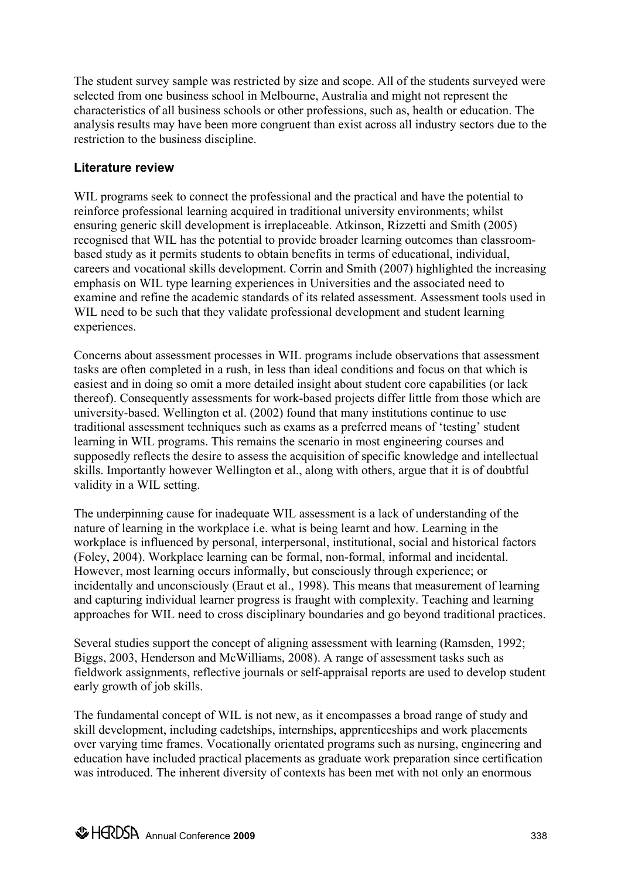The student survey sample was restricted by size and scope. All of the students surveyed were selected from one business school in Melbourne, Australia and might not represent the characteristics of all business schools or other professions, such as, health or education. The analysis results may have been more congruent than exist across all industry sectors due to the restriction to the business discipline.

#### **Literature review**

WIL programs seek to connect the professional and the practical and have the potential to reinforce professional learning acquired in traditional university environments; whilst ensuring generic skill development is irreplaceable. Atkinson, Rizzetti and Smith (2005) recognised that WIL has the potential to provide broader learning outcomes than classroombased study as it permits students to obtain benefits in terms of educational, individual, careers and vocational skills development. Corrin and Smith (2007) highlighted the increasing emphasis on WIL type learning experiences in Universities and the associated need to examine and refine the academic standards of its related assessment. Assessment tools used in WIL need to be such that they validate professional development and student learning experiences.

Concerns about assessment processes in WIL programs include observations that assessment tasks are often completed in a rush, in less than ideal conditions and focus on that which is easiest and in doing so omit a more detailed insight about student core capabilities (or lack thereof). Consequently assessments for work-based projects differ little from those which are university-based. Wellington et al. (2002) found that many institutions continue to use traditional assessment techniques such as exams as a preferred means of 'testing' student learning in WIL programs. This remains the scenario in most engineering courses and supposedly reflects the desire to assess the acquisition of specific knowledge and intellectual skills. Importantly however Wellington et al., along with others, argue that it is of doubtful validity in a WIL setting.

The underpinning cause for inadequate WIL assessment is a lack of understanding of the nature of learning in the workplace i.e. what is being learnt and how. Learning in the workplace is influenced by personal, interpersonal, institutional, social and historical factors (Foley, 2004). Workplace learning can be formal, non-formal, informal and incidental. However, most learning occurs informally, but consciously through experience; or incidentally and unconsciously (Eraut et al., 1998). This means that measurement of learning and capturing individual learner progress is fraught with complexity. Teaching and learning approaches for WIL need to cross disciplinary boundaries and go beyond traditional practices.

Several studies support the concept of aligning assessment with learning (Ramsden, 1992; Biggs, 2003, Henderson and McWilliams, 2008). A range of assessment tasks such as fieldwork assignments, reflective journals or self-appraisal reports are used to develop student early growth of job skills.

The fundamental concept of WIL is not new, as it encompasses a broad range of study and skill development, including cadetships, internships, apprenticeships and work placements over varying time frames. Vocationally orientated programs such as nursing, engineering and education have included practical placements as graduate work preparation since certification was introduced. The inherent diversity of contexts has been met with not only an enormous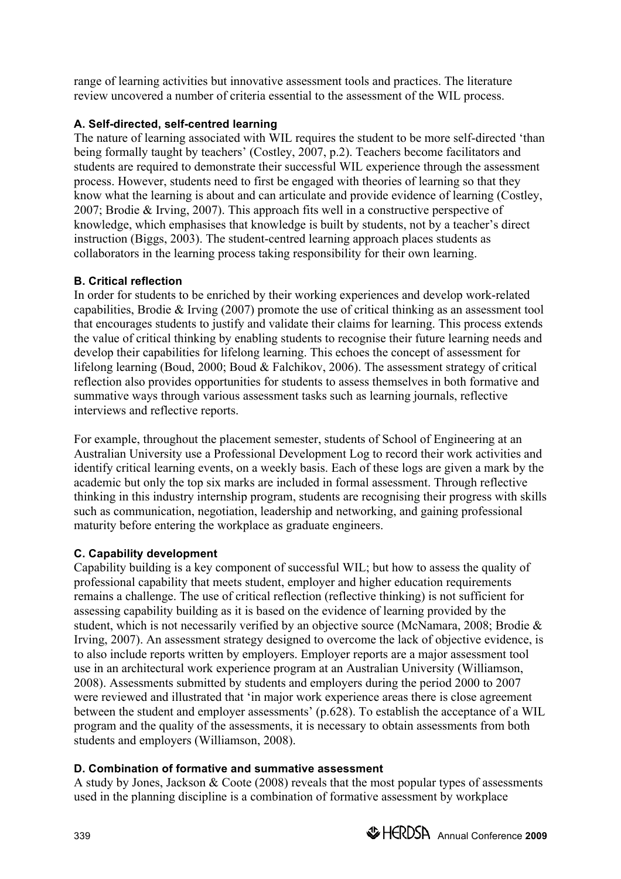range of learning activities but innovative assessment tools and practices. The literature review uncovered a number of criteria essential to the assessment of the WIL process.

#### **A. Self-directed, self-centred learning**

The nature of learning associated with WIL requires the student to be more self-directed 'than being formally taught by teachers' (Costley, 2007, p.2). Teachers become facilitators and students are required to demonstrate their successful WIL experience through the assessment process. However, students need to first be engaged with theories of learning so that they know what the learning is about and can articulate and provide evidence of learning (Costley, 2007; Brodie & Irving, 2007). This approach fits well in a constructive perspective of knowledge, which emphasises that knowledge is built by students, not by a teacher's direct instruction (Biggs, 2003). The student-centred learning approach places students as collaborators in the learning process taking responsibility for their own learning.

#### **B. Critical reflection**

In order for students to be enriched by their working experiences and develop work-related capabilities, Brodie & Irving (2007) promote the use of critical thinking as an assessment tool that encourages students to justify and validate their claims for learning. This process extends the value of critical thinking by enabling students to recognise their future learning needs and develop their capabilities for lifelong learning. This echoes the concept of assessment for lifelong learning (Boud, 2000; Boud & Falchikov, 2006). The assessment strategy of critical reflection also provides opportunities for students to assess themselves in both formative and summative ways through various assessment tasks such as learning journals, reflective interviews and reflective reports.

For example, throughout the placement semester, students of School of Engineering at an Australian University use a Professional Development Log to record their work activities and identify critical learning events, on a weekly basis. Each of these logs are given a mark by the academic but only the top six marks are included in formal assessment. Through reflective thinking in this industry internship program, students are recognising their progress with skills such as communication, negotiation, leadership and networking, and gaining professional maturity before entering the workplace as graduate engineers.

### **C. Capability development**

Capability building is a key component of successful WIL; but how to assess the quality of professional capability that meets student, employer and higher education requirements remains a challenge. The use of critical reflection (reflective thinking) is not sufficient for assessing capability building as it is based on the evidence of learning provided by the student, which is not necessarily verified by an objective source (McNamara, 2008; Brodie & Irving, 2007). An assessment strategy designed to overcome the lack of objective evidence, is to also include reports written by employers. Employer reports are a major assessment tool use in an architectural work experience program at an Australian University (Williamson, 2008). Assessments submitted by students and employers during the period 2000 to 2007 were reviewed and illustrated that 'in major work experience areas there is close agreement between the student and employer assessments' (p.628). To establish the acceptance of a WIL program and the quality of the assessments, it is necessary to obtain assessments from both students and employers (Williamson, 2008).

#### **D. Combination of formative and summative assessment**

A study by Jones, Jackson & Coote (2008) reveals that the most popular types of assessments used in the planning discipline is a combination of formative assessment by workplace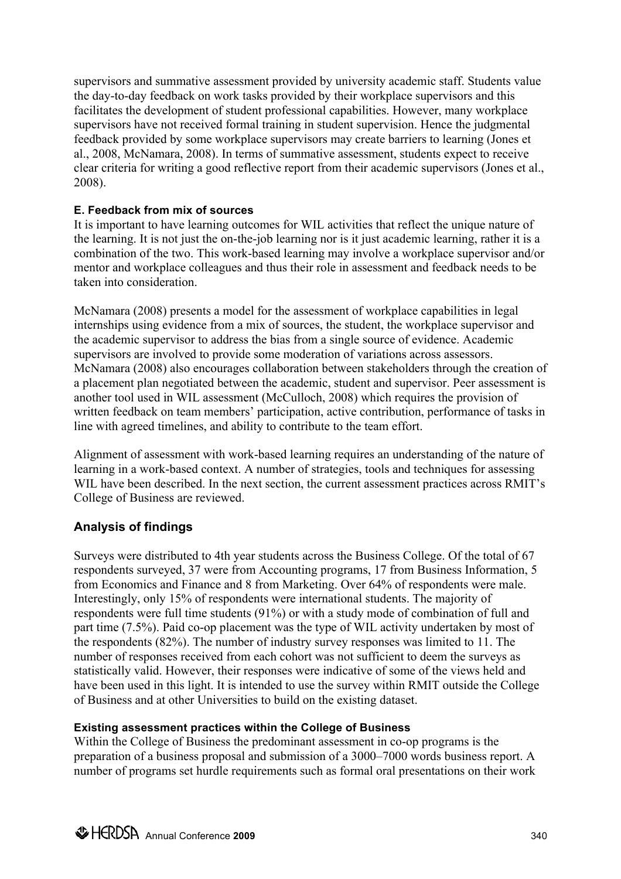supervisors and summative assessment provided by university academic staff. Students value the day-to-day feedback on work tasks provided by their workplace supervisors and this facilitates the development of student professional capabilities. However, many workplace supervisors have not received formal training in student supervision. Hence the judgmental feedback provided by some workplace supervisors may create barriers to learning (Jones et al., 2008, McNamara, 2008). In terms of summative assessment, students expect to receive clear criteria for writing a good reflective report from their academic supervisors (Jones et al., 2008).

#### **E. Feedback from mix of sources**

It is important to have learning outcomes for WIL activities that reflect the unique nature of the learning. It is not just the on-the-job learning nor is it just academic learning, rather it is a combination of the two. This work-based learning may involve a workplace supervisor and/or mentor and workplace colleagues and thus their role in assessment and feedback needs to be taken into consideration.

McNamara (2008) presents a model for the assessment of workplace capabilities in legal internships using evidence from a mix of sources, the student, the workplace supervisor and the academic supervisor to address the bias from a single source of evidence. Academic supervisors are involved to provide some moderation of variations across assessors. McNamara (2008) also encourages collaboration between stakeholders through the creation of a placement plan negotiated between the academic, student and supervisor. Peer assessment is another tool used in WIL assessment (McCulloch, 2008) which requires the provision of written feedback on team members' participation, active contribution, performance of tasks in line with agreed timelines, and ability to contribute to the team effort.

Alignment of assessment with work-based learning requires an understanding of the nature of learning in a work-based context. A number of strategies, tools and techniques for assessing WIL have been described. In the next section, the current assessment practices across RMIT's College of Business are reviewed.

# **Analysis of findings**

Surveys were distributed to 4th year students across the Business College. Of the total of 67 respondents surveyed, 37 were from Accounting programs, 17 from Business Information, 5 from Economics and Finance and 8 from Marketing. Over 64% of respondents were male. Interestingly, only 15% of respondents were international students. The majority of respondents were full time students (91%) or with a study mode of combination of full and part time (7.5%). Paid co-op placement was the type of WIL activity undertaken by most of the respondents (82%). The number of industry survey responses was limited to 11. The number of responses received from each cohort was not sufficient to deem the surveys as statistically valid. However, their responses were indicative of some of the views held and have been used in this light. It is intended to use the survey within RMIT outside the College of Business and at other Universities to build on the existing dataset.

#### **Existing assessment practices within the College of Business**

Within the College of Business the predominant assessment in co-op programs is the preparation of a business proposal and submission of a 3000–7000 words business report. A number of programs set hurdle requirements such as formal oral presentations on their work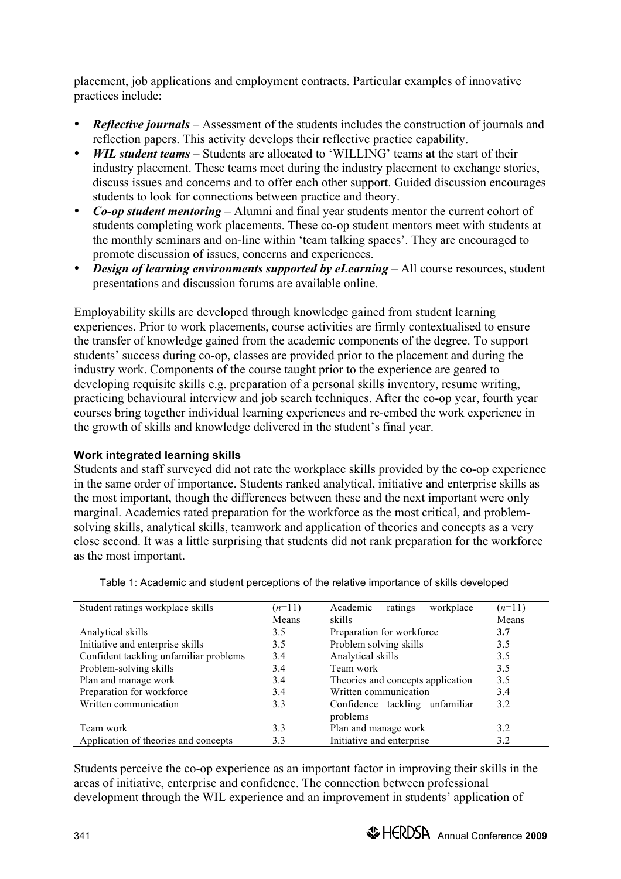placement, job applications and employment contracts. Particular examples of innovative practices include:

- *Reflective journals* Assessment of the students includes the construction of journals and reflection papers. This activity develops their reflective practice capability.
- *WIL student teams* Students are allocated to 'WILLING' teams at the start of their industry placement. These teams meet during the industry placement to exchange stories, discuss issues and concerns and to offer each other support. Guided discussion encourages students to look for connections between practice and theory.
- *Co-op student mentoring* Alumni and final year students mentor the current cohort of students completing work placements. These co-op student mentors meet with students at the monthly seminars and on-line within 'team talking spaces'. They are encouraged to promote discussion of issues, concerns and experiences.
- *Design of learning environments supported by eLearning* All course resources, student presentations and discussion forums are available online.

Employability skills are developed through knowledge gained from student learning experiences. Prior to work placements, course activities are firmly contextualised to ensure the transfer of knowledge gained from the academic components of the degree. To support students' success during co-op, classes are provided prior to the placement and during the industry work. Components of the course taught prior to the experience are geared to developing requisite skills e.g. preparation of a personal skills inventory, resume writing, practicing behavioural interview and job search techniques. After the co-op year, fourth year courses bring together individual learning experiences and re-embed the work experience in the growth of skills and knowledge delivered in the student's final year.

#### **Work integrated learning skills**

Students and staff surveyed did not rate the workplace skills provided by the co-op experience in the same order of importance. Students ranked analytical, initiative and enterprise skills as the most important, though the differences between these and the next important were only marginal. Academics rated preparation for the workforce as the most critical, and problemsolving skills, analytical skills, teamwork and application of theories and concepts as a very close second. It was a little surprising that students did not rank preparation for the workforce as the most important.

| Student ratings workplace skills       | $(n=11)$ | Academic<br>workplace<br>ratings  | $(n=11)$ |
|----------------------------------------|----------|-----------------------------------|----------|
|                                        | Means    | skills                            | Means    |
| Analytical skills                      | 3.5      | Preparation for workforce         | 3.7      |
| Initiative and enterprise skills       | 3.5      | Problem solving skills            | 3.5      |
| Confident tackling unfamiliar problems | 3.4      | Analytical skills                 | 3.5      |
| Problem-solving skills                 | 3.4      | Team work                         | 3.5      |
| Plan and manage work                   | 3.4      | Theories and concepts application | 3.5      |
| Preparation for workforce              | 3.4      | Written communication             | 3.4      |
| Written communication                  | 3.3      | Confidence tackling unfamiliar    | 3.2      |
|                                        |          | problems                          |          |
| Team work                              | 3.3      | Plan and manage work              | 3.2      |
| Application of theories and concepts   | 3.3      | Initiative and enterprise         | 3.2      |

Table 1: Academic and student perceptions of the relative importance of skills developed

Students perceive the co-op experience as an important factor in improving their skills in the areas of initiative, enterprise and confidence. The connection between professional development through the WIL experience and an improvement in students' application of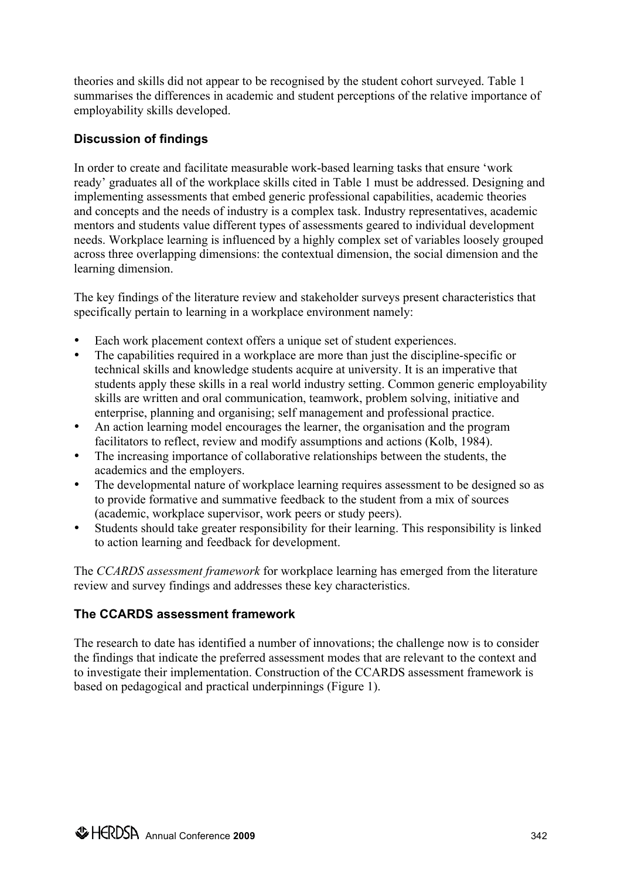theories and skills did not appear to be recognised by the student cohort surveyed. Table 1 summarises the differences in academic and student perceptions of the relative importance of employability skills developed.

### **Discussion of findings**

In order to create and facilitate measurable work-based learning tasks that ensure 'work ready' graduates all of the workplace skills cited in Table 1 must be addressed. Designing and implementing assessments that embed generic professional capabilities, academic theories and concepts and the needs of industry is a complex task. Industry representatives, academic mentors and students value different types of assessments geared to individual development needs. Workplace learning is influenced by a highly complex set of variables loosely grouped across three overlapping dimensions: the contextual dimension, the social dimension and the learning dimension.

The key findings of the literature review and stakeholder surveys present characteristics that specifically pertain to learning in a workplace environment namely:

- Each work placement context offers a unique set of student experiences.
- The capabilities required in a workplace are more than just the discipline-specific or technical skills and knowledge students acquire at university. It is an imperative that students apply these skills in a real world industry setting. Common generic employability skills are written and oral communication, teamwork, problem solving, initiative and enterprise, planning and organising; self management and professional practice.
- An action learning model encourages the learner, the organisation and the program facilitators to reflect, review and modify assumptions and actions (Kolb, 1984).
- The increasing importance of collaborative relationships between the students, the academics and the employers.
- The developmental nature of workplace learning requires assessment to be designed so as to provide formative and summative feedback to the student from a mix of sources (academic, workplace supervisor, work peers or study peers).
- Students should take greater responsibility for their learning. This responsibility is linked to action learning and feedback for development.

The *CCARDS assessment framework* for workplace learning has emerged from the literature review and survey findings and addresses these key characteristics.

### **The CCARDS assessment framework**

The research to date has identified a number of innovations; the challenge now is to consider the findings that indicate the preferred assessment modes that are relevant to the context and to investigate their implementation. Construction of the CCARDS assessment framework is based on pedagogical and practical underpinnings (Figure 1).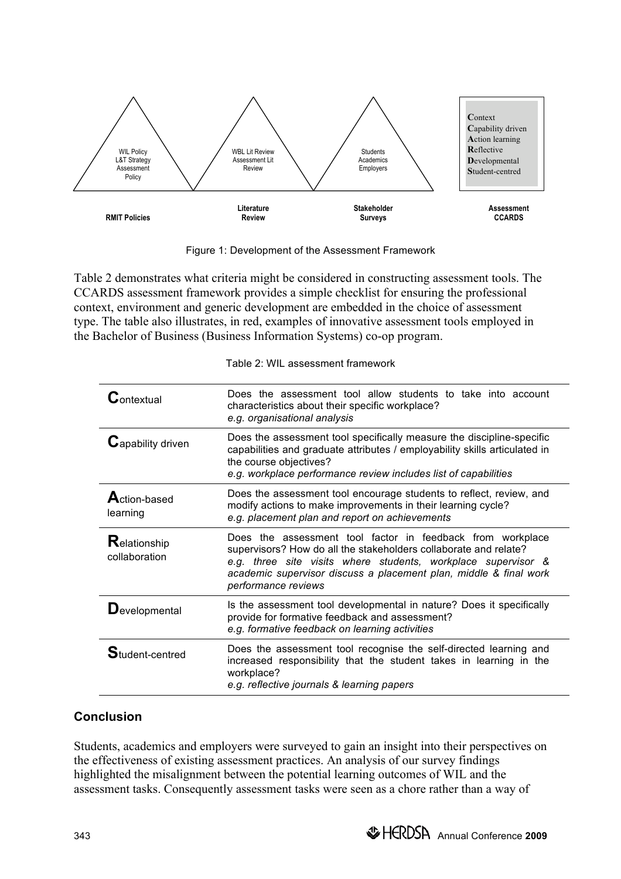

Figure 1: Development of the Assessment Framework

Table 2 demonstrates what criteria might be considered in constructing assessment tools. The CCARDS assessment framework provides a simple checklist for ensuring the professional context, environment and generic development are embedded in the choice of assessment type. The table also illustrates, in red, examples of innovative assessment tools employed in the Bachelor of Business (Business Information Systems) co-op program.

|  | Table 2: WIL assessment framework |
|--|-----------------------------------|
|--|-----------------------------------|

| $\mathcal{G}_{\text{ontextual}}$ | Does the assessment tool allow students to take into account<br>characteristics about their specific workplace?<br>e.g. organisational analysis                                                                                                                                             |
|----------------------------------|---------------------------------------------------------------------------------------------------------------------------------------------------------------------------------------------------------------------------------------------------------------------------------------------|
| ${\bf G}$ apability driven       | Does the assessment tool specifically measure the discipline-specific<br>capabilities and graduate attributes / employability skills articulated in<br>the course objectives?<br>e.g. workplace performance review includes list of capabilities                                            |
| <b>A</b> ction-based<br>learning | Does the assessment tool encourage students to reflect, review, and<br>modify actions to make improvements in their learning cycle?<br>e.g. placement plan and report on achievements                                                                                                       |
| Relationship<br>collaboration    | Does the assessment tool factor in feedback from workplace<br>supervisors? How do all the stakeholders collaborate and relate?<br>e.g. three site visits where students, workplace supervisor &<br>academic supervisor discuss a placement plan, middle & final work<br>performance reviews |
| $\mathbf D$ evelopmental         | Is the assessment tool developmental in nature? Does it specifically<br>provide for formative feedback and assessment?<br>e.g. formative feedback on learning activities                                                                                                                    |
| Student-centred                  | Does the assessment tool recognise the self-directed learning and<br>increased responsibility that the student takes in learning in the<br>workplace?<br>e.g. reflective journals & learning papers                                                                                         |

# **Conclusion**

Students, academics and employers were surveyed to gain an insight into their perspectives on the effectiveness of existing assessment practices. An analysis of our survey findings highlighted the misalignment between the potential learning outcomes of WIL and the assessment tasks. Consequently assessment tasks were seen as a chore rather than a way of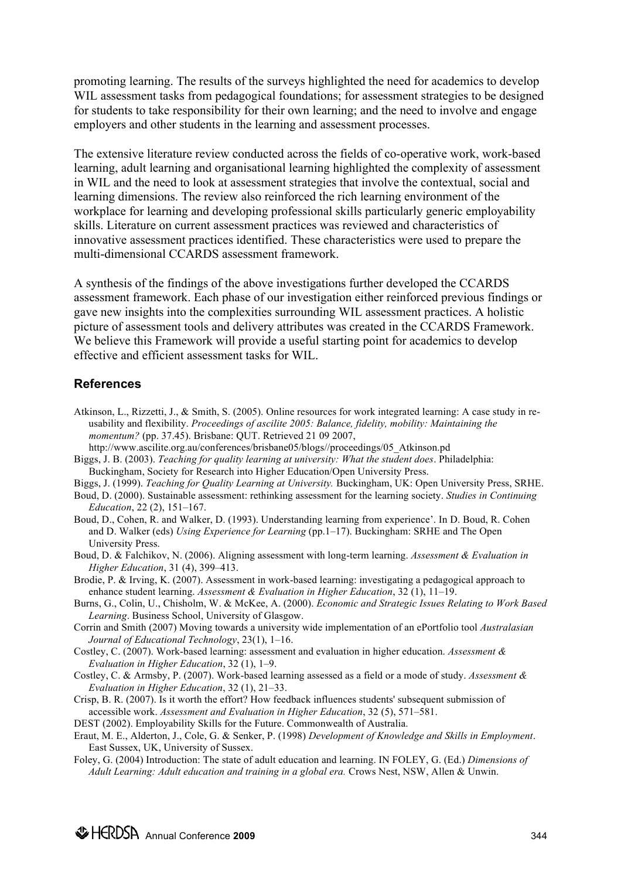promoting learning. The results of the surveys highlighted the need for academics to develop WIL assessment tasks from pedagogical foundations; for assessment strategies to be designed for students to take responsibility for their own learning; and the need to involve and engage employers and other students in the learning and assessment processes.

The extensive literature review conducted across the fields of co-operative work, work-based learning, adult learning and organisational learning highlighted the complexity of assessment in WIL and the need to look at assessment strategies that involve the contextual, social and learning dimensions. The review also reinforced the rich learning environment of the workplace for learning and developing professional skills particularly generic employability skills. Literature on current assessment practices was reviewed and characteristics of innovative assessment practices identified. These characteristics were used to prepare the multi-dimensional CCARDS assessment framework.

A synthesis of the findings of the above investigations further developed the CCARDS assessment framework. Each phase of our investigation either reinforced previous findings or gave new insights into the complexities surrounding WIL assessment practices. A holistic picture of assessment tools and delivery attributes was created in the CCARDS Framework. We believe this Framework will provide a useful starting point for academics to develop effective and efficient assessment tasks for WIL.

#### **References**

- Atkinson, L., Rizzetti, J., & Smith, S. (2005). Online resources for work integrated learning: A case study in reusability and flexibility. *Proceedings of ascilite 2005: Balance, fidelity, mobility: Maintaining the momentum?* (pp. 37.45). Brisbane: QUT. Retrieved 21 09 2007,
- http://www.ascilite.org.au/conferences/brisbane05/blogs//proceedings/05\_Atkinson.pd Biggs, J. B. (2003). *Teaching for quality learning at university: What the student does*. Philadelphia:
- Buckingham, Society for Research into Higher Education/Open University Press.
- Biggs, J. (1999). *Teaching for Quality Learning at University.* Buckingham, UK: Open University Press, SRHE.
- Boud, D. (2000). Sustainable assessment: rethinking assessment for the learning society. *Studies in Continuing Education*, 22 (2), 151–167.
- Boud, D., Cohen, R. and Walker, D. (1993). Understanding learning from experience'. In D. Boud, R. Cohen and D. Walker (eds) *Using Experience for Learning* (pp.1–17). Buckingham: SRHE and The Open University Press.
- Boud, D. & Falchikov, N. (2006). Aligning assessment with long-term learning. *Assessment & Evaluation in Higher Education*, 31 (4), 399–413.
- Brodie, P. & Irving, K. (2007). Assessment in work-based learning: investigating a pedagogical approach to enhance student learning. *Assessment & Evaluation in Higher Education*, 32 (1), 11–19.
- Burns, G., Colin, U., Chisholm, W. & McKee, A. (2000). *Economic and Strategic Issues Relating to Work Based Learning*. Business School, University of Glasgow.
- Corrin and Smith (2007) Moving towards a university wide implementation of an ePortfolio tool *Australasian Journal of Educational Technology*, 23(1), 1–16.
- Costley, C. (2007). Work-based learning: assessment and evaluation in higher education. *Assessment & Evaluation in Higher Education*, 32 (1), 1–9.
- Costley, C. & Armsby, P. (2007). Work-based learning assessed as a field or a mode of study. *Assessment & Evaluation in Higher Education*, 32 (1), 21–33.
- Crisp, B. R. (2007). Is it worth the effort? How feedback influences students' subsequent submission of accessible work. *Assessment and Evaluation in Higher Education*, 32 (5), 571–581.
- DEST (2002). Employability Skills for the Future. Commonwealth of Australia.
- Eraut, M. E., Alderton, J., Cole, G. & Senker, P. (1998) *Development of Knowledge and Skills in Employment*. East Sussex, UK, University of Sussex.
- Foley, G. (2004) Introduction: The state of adult education and learning. IN FOLEY, G. (Ed.) *Dimensions of Adult Learning: Adult education and training in a global era.* Crows Nest, NSW, Allen & Unwin.